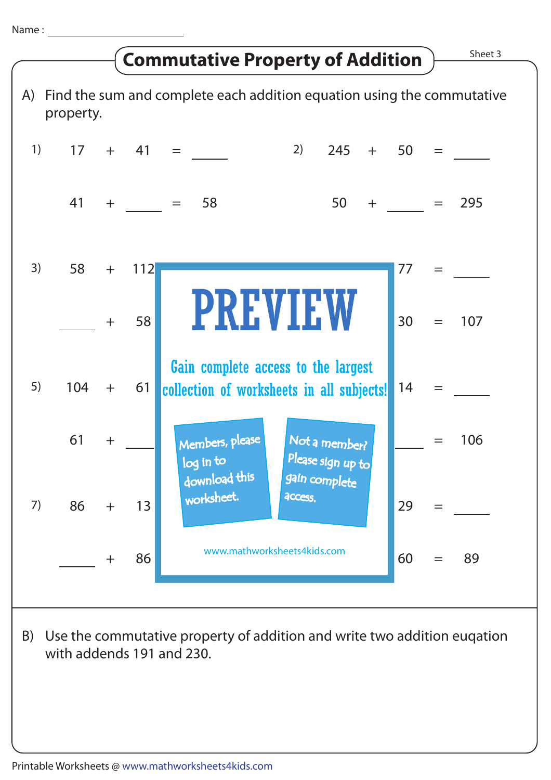